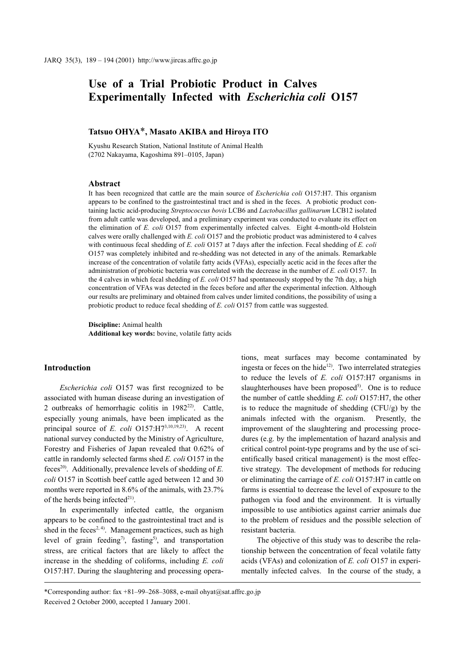# Use of a Trial Probiotic Product in Calves Experimentally Infected with Escherichia coli O157

## Tatsuo OHYA\*, Masato AKIBA and Hiroya ITO

Kyushu Research Station, National Institute of Animal Health (2702 Nakayama, Kagoshima 891-0105, Japan)

## **Abstract**

It has been recognized that cattle are the main source of *Escherichia coli* O157:H7. This organism appears to be confined to the gastrointestinal tract and is shed in the feces. A probiotic product containing lactic acid-producing Streptococcus bovis LCB6 and Lactobacillus gallinarum LCB12 isolated from adult cattle was developed, and a preliminary experiment was conducted to evaluate its effect on the elimination of E. coli O157 from experimentally infected calves. Eight 4-month-old Holstein calves were orally challenged with  $E.$  coli O157 and the probiotic product was administered to 4 calves with continuous fecal shedding of E. coli O157 at 7 days after the infection. Fecal shedding of E. coli O157 was completely inhibited and re-shedding was not detected in any of the animals. Remarkable increase of the concentration of volatile fatty acids (VFAs), especially acetic acid in the feces after the administration of probiotic bacteria was correlated with the decrease in the number of  $E$ . coli O157. In the 4 calves in which fecal shedding of E. coli  $O(157)$  had spontaneously stopped by the 7th day, a high concentration of VFAs was detected in the feces before and after the experimental infection. Although our results are preliminary and obtained from calves under limited conditions, the possibility of using a probiotic product to reduce fecal shedding of E. coli O157 from cattle was suggested.

Discipline: Animal health Additional key words: bovine, volatile fatty acids

## **Introduction**

Escherichia coli O157 was first recognized to be associated with human disease during an investigation of 2 outbreaks of hemorrhagic colitis in 1982<sup>22</sup>. Cattle, especially young animals, have been implicated as the principal source of E. coli  $O157:H7^{3,10,19,23}$ . A recent national survey conducted by the Ministry of Agriculture, Forestry and Fisheries of Japan revealed that 0.62% of cattle in randomly selected farms shed E. coli O157 in the feces<sup>20)</sup>. Additionally, prevalence levels of shedding of  $E$ . coli O157 in Scottish beef cattle aged between 12 and 30 months were reported in 8.6% of the animals, with 23.7% of the herds being infected $^{21}$ .

In experimentally infected cattle, the organism appears to be confined to the gastrointestinal tract and is shed in the feces<sup>2, 4)</sup>. Management practices, such as high level of grain feeding<sup>7</sup>, fasting<sup>5</sup>, and transportation stress, are critical factors that are likely to affect the increase in the shedding of coliforms, including E. coli O157:H7. During the slaughtering and processing operations, meat surfaces may become contaminated by ingesta or feces on the hide<sup>12)</sup>. Two interrelated strategies to reduce the levels of  $E$ . *coli*  $O157:H7$  organisms in slaughterhouses have been proposed<sup>5)</sup>. One is to reduce the number of cattle shedding E. coli O157:H7, the other is to reduce the magnitude of shedding (CFU/g) by the animals infected with the organism. Presently, the improvement of the slaughtering and processing procedures (e.g. by the implementation of hazard analysis and critical control point-type programs and by the use of scientifically based critical management) is the most effective strategy. The development of methods for reducing or eliminating the carriage of E. coli O157:H7 in cattle on farms is essential to decrease the level of exposure to the pathogen via food and the environment. It is virtually impossible to use antibiotics against carrier animals due to the problem of residues and the possible selection of resistant bacteria.

The objective of this study was to describe the relationship between the concentration of fecal volatile fatty acids (VFAs) and colonization of E. coli O157 in experimentally infected calves. In the course of the study, a

<sup>\*</sup>Corresponding author: fax +81-99-268-3088, e-mail ohyat@sat.affrc.go.jp Received 2 October 2000, accepted 1 January 2001.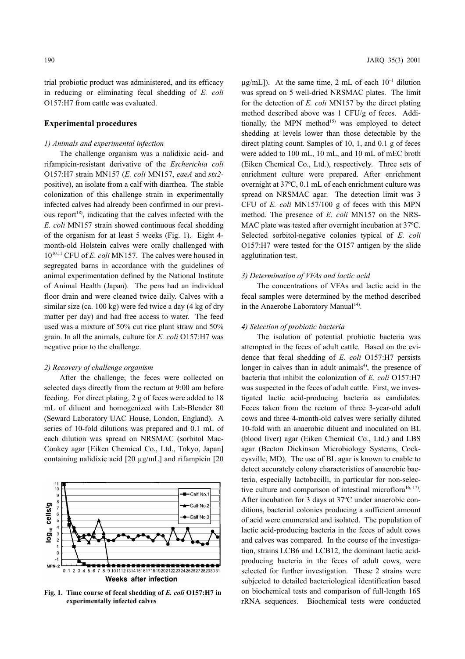trial probiotic product was administered, and its efficacy in reducing or eliminating fecal shedding of E. coli O157:H7 from cattle was evaluated.

## **Experimental procedures**

#### 1) Animals and experimental infection

The challenge organism was a nalidixic acid- and rifampicin-resistant derivative of the Escherichia coli O157:H7 strain MN157 (E. coli MN157, eaeA and stx2positive), an isolate from a calf with diarrhea. The stable colonization of this challenge strain in experimentally infected calves had already been confirmed in our previous report<sup>18</sup>, indicating that the calves infected with the E. coli MN157 strain showed continuous fecal shedding of the organism for at least 5 weeks (Fig. 1). Eight 4month-old Holstein calves were orally challenged with  $10^{10.11}$  CFU of *E. coli* MN157. The calves were housed in segregated barns in accordance with the guidelines of animal experimentation defined by the National Institute of Animal Health (Japan). The pens had an individual floor drain and were cleaned twice daily. Calves with a similar size (ca. 100 kg) were fed twice a day (4 kg of dry matter per day) and had free access to water. The feed used was a mixture of 50% cut rice plant straw and 50% grain. In all the animals, culture for E. coli O157:H7 was negative prior to the challenge.

#### 2) Recovery of challenge organism

After the challenge, the feces were collected on selected days directly from the rectum at 9:00 am before feeding. For direct plating, 2 g of feces were added to 18 mL of diluent and homogenized with Lab-Blender 80 (Seward Laboratory UAC House, London, England). A series of 10-fold dilutions was prepared and 0.1 mL of each dilution was spread on NRSMAC (sorbitol Mac-Conkey agar [Eiken Chemical Co., Ltd., Tokyo, Japan] containing nalidixic acid  $[20 \mu g/mL]$  and rifampicin  $[20 \mu g/mL]$ 

#### 11<br>10 Calf No.1  $\epsilon$ cells/g -Calf No.2  $\epsilon$ Calf No.3  $\overline{5}$  $log_{10}$  $MPN<sub>2</sub>$ موارد وارد مارا مارا موارد والمحارات والمحارف والمحارات والمحارب والمحارب والمحارث والمحارب والمحارث والمحارث  $0 1 2 3 4 5 6 7$  $\overline{8}$   $\overline{9}$   $\overline{10}$   $\overline{11}$   $\overline{21}$   $\overline{3}$   $\overline{14}$   $\overline{15}$   $\overline{16}$   $\overline{17}$   $\overline{18}$   $\overline{19}$   $\overline{20}$   $\overline{21}$   $\overline{22}$   $\overline{23}$   $\overline{24}$   $\overline{25}$   $\overline{26}$   $\overline{27}$   $\overline{28}$   $\overline{29}$   $\overline$ Weeks after infection

Fig. 1. Time course of fecal shedding of E. coli O157:H7 in experimentally infected calves

 $\mu$ g/mL]). At the same time, 2 mL of each  $10^{-1}$  dilution was spread on 5 well-dried NRSMAC plates. The limit for the detection of  $E$ . *coli* MN157 by the direct plating method described above was 1 CFU/g of feces. Additionally, the MPN method<sup>15)</sup> was employed to detect shedding at levels lower than those detectable by the direct plating count. Samples of 10, 1, and 0.1 g of feces were added to 100 mL, 10 mL, and 10 mL of mEC broth (Eiken Chemical Co., Ltd.), respectively. Three sets of enrichment culture were prepared. After enrichment overnight at 37°C, 0.1 mL of each enrichment culture was spread on NRSMAC agar. The detection limit was 3 CFU of *E. coli* MN157/100 g of feces with this MPN method. The presence of E. coli MN157 on the NRS-MAC plate was tested after overnight incubation at 37°C. Selected sorbitol-negative colonies typical of E. coli O157:H7 were tested for the O157 antigen by the slide agglutination test.

#### 3) Determination of VFAs and lactic acid

The concentrations of VFAs and lactic acid in the fecal samples were determined by the method described in the Anaerobe Laboratory Manual<sup>14)</sup>.

#### 4) Selection of probiotic bacteria

The isolation of potential probiotic bacteria was attempted in the feces of adult cattle. Based on the evidence that fecal shedding of E. coli O157:H7 persists longer in calves than in adult animals<sup>4)</sup>, the presence of bacteria that inhibit the colonization of E. coli O157:H7 was suspected in the feces of adult cattle. First, we investigated lactic acid-producing bacteria as candidates. Feces taken from the rectum of three 3-year-old adult cows and three 4-month-old calves were serially diluted 10-fold with an anaerobic diluent and inoculated on BL (blood liver) agar (Eiken Chemical Co., Ltd.) and LBS agar (Becton Dickinson Microbiology Systems, Cockeysville, MD). The use of BL agar is known to enable to detect accurately colony characteristics of anaerobic bacteria, especially lactobacilli, in particular for non-selective culture and comparison of intestinal microflora<sup>16, 17</sup>). After incubation for 3 days at 37°C under anaerobic conditions, bacterial colonies producing a sufficient amount of acid were enumerated and isolated. The population of lactic acid-producing bacteria in the feces of adult cows and calves was compared. In the course of the investigation, strains LCB6 and LCB12, the dominant lactic acidproducing bacteria in the feces of adult cows, were selected for further investigation. These 2 strains were subjected to detailed bacteriological identification based on biochemical tests and comparison of full-length 16S rRNA sequences. Biochemical tests were conducted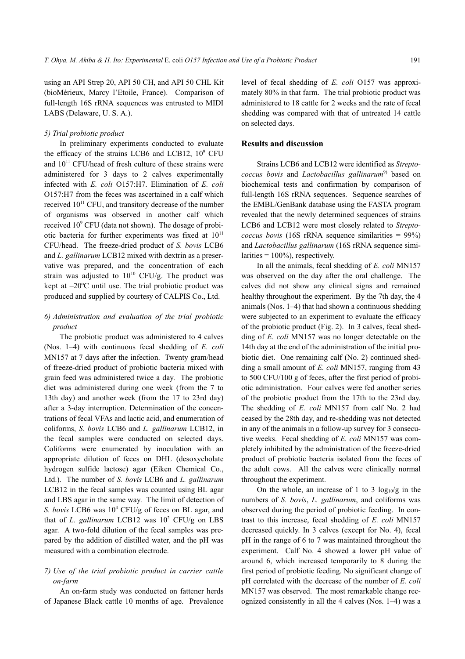using an API Strep 20, API 50 CH, and API 50 CHL Kit (bioMérieux, Marcy l'Etoile, France). Comparison of full-length 16S rRNA sequences was entrusted to MIDI LABS (Delaware, U. S. A.).

#### 5) Trial probiotic product

In preliminary experiments conducted to evaluate the efficacy of the strains LCB6 and LCB12, 10<sup>9</sup> CFU and  $10^{11}$  CFU/head of fresh culture of these strains were administered for 3 days to 2 calves experimentally infected with E. coli O157:H7. Elimination of E. coli O157:H7 from the feces was ascertained in a calf which received  $10^{11}$  CFU, and transitory decrease of the number of organisms was observed in another calf which received  $10^9$  CFU (data not shown). The dosage of probiotic bacteria for further experiments was fixed at  $10^{11}$ CFU/head. The freeze-dried product of S. bovis LCB6 and L. gallinarum LCB12 mixed with dextrin as a preservative was prepared, and the concentration of each strain was adjusted to  $10^{10}$  CFU/g. The product was kept at  $-20^{\circ}$ C until use. The trial probiotic product was produced and supplied by courtesy of CALPIS Co., Ltd.

## 6) Administration and evaluation of the trial probiotic product

The probiotic product was administered to 4 calves (Nos. 1–4) with continuous fecal shedding of  $E$ . *coli* MN157 at 7 days after the infection. Twenty gram/head of freeze-dried product of probiotic bacteria mixed with grain feed was administered twice a day. The probiotic diet was administered during one week (from the 7 to 13th day) and another week (from the 17 to 23rd day) after a 3-day interruption. Determination of the concentrations of fecal VFAs and lactic acid, and enumeration of coliforms, S. bovis LCB6 and L. gallinarum LCB12, in the fecal samples were conducted on selected days. Coliforms were enumerated by inoculation with an appropriate dilution of feces on DHL (desoxycholate hydrogen sulfide lactose) agar (Eiken Chemical Co., Ltd.). The number of S. bovis LCB6 and L. gallinarum LCB12 in the fecal samples was counted using BL agar and LBS agar in the same way. The limit of detection of S. bovis LCB6 was  $10^4$  CFU/g of feces on BL agar, and that of L. gallinarum LCB12 was  $10^2$  CFU/g on LBS agar. A two-fold dilution of the fecal samples was prepared by the addition of distilled water, and the pH was measured with a combination electrode.

## 7) Use of the trial probiotic product in carrier cattle on-farm

An on-farm study was conducted on fattener herds of Japanese Black cattle 10 months of age. Prevalence level of fecal shedding of E. coli O157 was approximately 80% in that farm. The trial probiotic product was administered to 18 cattle for 2 weeks and the rate of fecal shedding was compared with that of untreated 14 cattle on selected days.

## **Results and discussion**

Strains LCB6 and LCB12 were identified as Streptococcus bovis and Lactobacillus gallinarum<sup>9)</sup> based on biochemical tests and confirmation by comparison of full-length 16S rRNA sequences. Sequence searches of the EMBL/GenBank database using the FASTA program revealed that the newly determined sequences of strains LCB6 and LCB12 were most closely related to Strepto*coccus bovis* (16S rRNA sequence similarities =  $99\%$ ) and Lactobacillus gallinarum (16S rRNA sequence similarities =  $100\%$ ), respectively.

In all the animals, fecal shedding of E. coli MN157 was observed on the day after the oral challenge. The calves did not show any clinical signs and remained healthy throughout the experiment. By the 7th day, the 4 animals (Nos.  $1-4$ ) that had shown a continuous shedding were subjected to an experiment to evaluate the efficacy of the probiotic product (Fig. 2). In 3 calves, fecal shedding of E. coli MN157 was no longer detectable on the 14th day at the end of the administration of the initial probiotic diet. One remaining calf (No. 2) continued shedding a small amount of E. coli MN157, ranging from 43 to 500 CFU/100 g of feces, after the first period of probiotic administration. Four calves were fed another series of the probiotic product from the 17th to the 23rd day. The shedding of E. coli MN157 from calf No. 2 had ceased by the 28th day, and re-shedding was not detected in any of the animals in a follow-up survey for 3 consecutive weeks. Fecal shedding of E. coli MN157 was completely inhibited by the administration of the freeze-dried product of probiotic bacteria isolated from the feces of the adult cows. All the calves were clinically normal throughout the experiment.

On the whole, an increase of 1 to 3  $log_{10}/g$  in the numbers of S. bovis, L. gallinarum, and coliforms was observed during the period of probiotic feeding. In contrast to this increase, fecal shedding of E. coli MN157 decreased quickly. In 3 calves (except for No. 4), fecal pH in the range of 6 to 7 was maintained throughout the experiment. Calf No. 4 showed a lower pH value of around 6, which increased temporarily to 8 during the first period of probiotic feeding. No significant change of pH correlated with the decrease of the number of E. coli MN157 was observed. The most remarkable change recognized consistently in all the 4 calves (Nos.  $1-4$ ) was a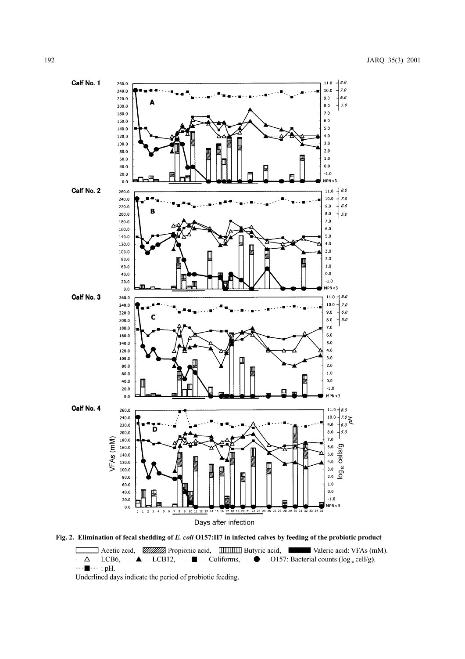

Fig. 2. Elimination of fecal shedding of E. coli O157:H7 in infected calves by feeding of the probiotic product

Acetic acid, WILLY Propionic acid, ITHITED Butyric acid, Waleric acid: VFAs (mM). **-4** LCB12, **-1** Coliforms, **-0** O157: Bacterial counts ( $log_{10}$  cell/g).  $\Delta$  LCB6,  $\cdots \blacksquare \cdots :$  pH.

Underlined days indicate the period of probiotic feeding.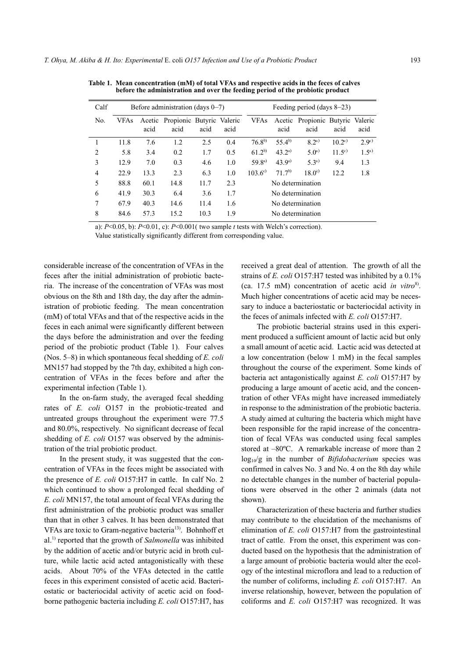| Calf                     | Before administration (days $0-7$ ) |      |                                          |      |      | Feeding period (days $8-23$ ) |            |                                          |                |               |
|--------------------------|-------------------------------------|------|------------------------------------------|------|------|-------------------------------|------------|------------------------------------------|----------------|---------------|
| No.                      | <b>VFAs</b>                         | acid | Acetic Propionic Butyric Valeric<br>acid | acid | acid | <b>VFAs</b>                   | acid       | Acetic Propionic Butyric Valeric<br>acid | acid           | acid          |
|                          | 11.8                                | 7.6  | 1.2                                      | 2.5  | 0.4  | $76.8^{b}$                    | $55.4^{b}$ | $8.2^{a}$                                | $10.2^{\circ}$ | $2.9^{\circ}$ |
| $\mathfrak{D}_{1}^{(1)}$ | 5.8                                 | 3.4  | 0.2                                      | 1.7  | 0.5  | $61.2^{b}$                    | $43.2^{a}$ | $5.0^{a}$                                | $11.5^{c}$     | $1.5^{a}$     |
| 3                        | 12.9                                | 7.0  | 0.3                                      | 4.6  | 1.0  | $59.8^{a}$                    | $43.9^{a}$ | $5.3^{a}$                                | 9.4            | 1.3           |
| $\overline{4}$           | 22.9                                | 13.3 | 2.3                                      | 6.3  | 1.0  | $103.6^{\circ}$               | $71.7^{b}$ | $18.0^{\circ}$                           | 12.2           | 1.8           |
| 5                        | 88.8                                | 60.1 | 14.8                                     | 11.7 | 2.3  | No determination              |            |                                          |                |               |
| 6                        | 41.9                                | 30.3 | 6.4                                      | 3.6  | 1.7  | No determination              |            |                                          |                |               |
| 7                        | 67.9                                | 40.3 | 14.6                                     | 11.4 | 1.6  | No determination              |            |                                          |                |               |
| 8                        | 84.6                                | 57.3 | 15.2                                     | 10.3 | 1.9  | No determination              |            |                                          |                |               |
|                          |                                     |      |                                          |      |      |                               |            |                                          |                |               |

Table 1. Mean concentration (mM) of total VFAs and respective acids in the feces of calves before the administration and over the feeding period of the probiotic product

a):  $P<0.05$ , b):  $P<0.01$ , c):  $P<0.001$  (two sample t tests with Welch's correction). Value statistically significantly different from corresponding value.

considerable increase of the concentration of VFAs in the feces after the initial administration of probiotic bacteria. The increase of the concentration of VFAs was most obvious on the 8th and 18th day, the day after the administration of probiotic feeding. The mean concentration (mM) of total VFAs and that of the respective acids in the feces in each animal were significantly different between the days before the administration and over the feeding period of the probiotic product (Table 1). Four calves (Nos.  $5-8$ ) in which spontaneous fecal shedding of E. coli MN157 had stopped by the 7th day, exhibited a high concentration of VFAs in the feces before and after the experimental infection (Table 1).

In the on-farm study, the averaged fecal shedding rates of E. coli O157 in the probiotic-treated and untreated groups throughout the experiment were 77.5 and 80.0%, respectively. No significant decrease of fecal shedding of *E. coli* O157 was observed by the administration of the trial probiotic product.

In the present study, it was suggested that the concentration of VFAs in the feces might be associated with the presence of  $E$ . *coli*  $O157:H7$  in cattle. In calf No. 2 which continued to show a prolonged fecal shedding of E. coli MN157, the total amount of fecal VFAs during the first administration of the probiotic product was smaller than that in other 3 calves. It has been demonstrated that VFAs are toxic to Gram-negative bacteria<sup>13)</sup>. Bohnhoff et  $al<sup>1</sup>$  reported that the growth of *Salmonella* was inhibited by the addition of acetic and/or butyric acid in broth culture, while lactic acid acted antagonistically with these acids. About 70% of the VFAs detected in the cattle feces in this experiment consisted of acetic acid. Bacteriostatic or bacteriocidal activity of acetic acid on foodborne pathogenic bacteria including E. coli O157:H7, has received a great deal of attention. The growth of all the strains of E. coli O157:H7 tested was inhibited by a 0.1% (ca. 17.5 mM) concentration of acetic acid in vitro<sup>8)</sup>. Much higher concentrations of acetic acid may be necessary to induce a bacteriostatic or bacteriocidal activity in the feces of animals infected with E. coli O157:H7.

The probiotic bacterial strains used in this experiment produced a sufficient amount of lactic acid but only a small amount of acetic acid. Lactic acid was detected at a low concentration (below 1 mM) in the fecal samples throughout the course of the experiment. Some kinds of bacteria act antagonistically against  $E$ . *coli*  $O157:H7$  by producing a large amount of acetic acid, and the concentration of other VFAs might have increased immediately in response to the administration of the probiotic bacteria. A study aimed at culturing the bacteria which might have been responsible for the rapid increase of the concentration of fecal VFAs was conducted using fecal samples stored at -80°C. A remarkable increase of more than 2  $log_{10}/g$  in the number of *Bifidobacterium* species was confirmed in calves No. 3 and No. 4 on the 8th day while no detectable changes in the number of bacterial populations were observed in the other 2 animals (data not shown).

Characterization of these bacteria and further studies may contribute to the elucidation of the mechanisms of elimination of E. coli O157:H7 from the gastrointestinal tract of cattle. From the onset, this experiment was conducted based on the hypothesis that the administration of a large amount of probiotic bacteria would alter the ecology of the intestinal microflora and lead to a reduction of the number of coliforms, including E. coli O157:H7. An inverse relationship, however, between the population of coliforms and E. coli O157:H7 was recognized. It was